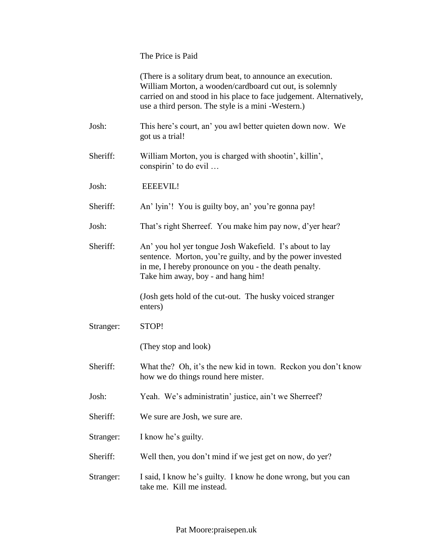The Price is Paid

|           | (There is a solitary drum beat, to announce an execution.<br>William Morton, a wooden/cardboard cut out, is solemnly<br>carried on and stood in his place to face judgement. Alternatively,<br>use a third person. The style is a mini -Western.) |
|-----------|---------------------------------------------------------------------------------------------------------------------------------------------------------------------------------------------------------------------------------------------------|
| Josh:     | This here's court, an' you awl better quieten down now. We<br>got us a trial!                                                                                                                                                                     |
| Sheriff:  | William Morton, you is charged with shootin', killin',<br>conspirin' to do evil                                                                                                                                                                   |
| Josh:     | <b>EEEEVIL!</b>                                                                                                                                                                                                                                   |
| Sheriff:  | An' lyin'! You is guilty boy, an' you're gonna pay!                                                                                                                                                                                               |
| Josh:     | That's right Sherreef. You make him pay now, d'yer hear?                                                                                                                                                                                          |
| Sheriff:  | An' you hol yer tongue Josh Wakefield. I's about to lay<br>sentence. Morton, you're guilty, and by the power invested<br>in me, I hereby pronounce on you - the death penalty.<br>Take him away, boy - and hang him!                              |
|           | (Josh gets hold of the cut-out. The husky voiced stranger<br>enters)                                                                                                                                                                              |
| Stranger: | STOP!                                                                                                                                                                                                                                             |
|           | (They stop and look)                                                                                                                                                                                                                              |
| Sheriff:  | What the? Oh, it's the new kid in town. Reckon you don't know<br>how we do things round here mister.                                                                                                                                              |
| Josh:     | Yeah. We's administratin' justice, ain't we Sherreef?                                                                                                                                                                                             |
| Sheriff:  | We sure are Josh, we sure are.                                                                                                                                                                                                                    |
| Stranger: | I know he's guilty.                                                                                                                                                                                                                               |
| Sheriff:  | Well then, you don't mind if we jest get on now, do yer?                                                                                                                                                                                          |
| Stranger: | I said, I know he's guilty. I know he done wrong, but you can<br>take me. Kill me instead.                                                                                                                                                        |
|           |                                                                                                                                                                                                                                                   |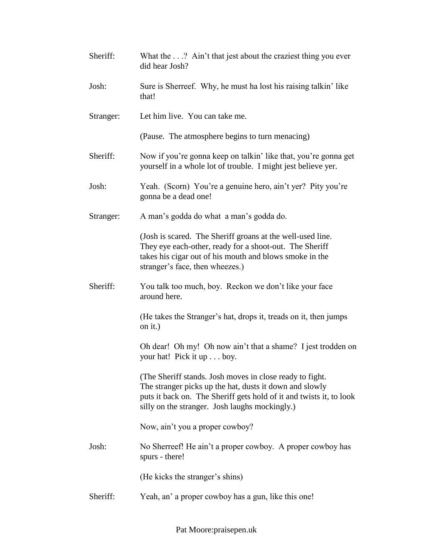| Sheriff:  | What the? Ain't that jest about the craziest thing you ever<br>did hear Josh?                                                                                                                                                                |
|-----------|----------------------------------------------------------------------------------------------------------------------------------------------------------------------------------------------------------------------------------------------|
| Josh:     | Sure is Sherreef. Why, he must ha lost his raising talkin' like<br>that!                                                                                                                                                                     |
| Stranger: | Let him live. You can take me.                                                                                                                                                                                                               |
|           | (Pause. The atmosphere begins to turn menacing)                                                                                                                                                                                              |
| Sheriff:  | Now if you're gonna keep on talkin' like that, you're gonna get<br>yourself in a whole lot of trouble. I might jest believe yer.                                                                                                             |
| Josh:     | Yeah. (Scorn) You're a genuine hero, ain't yer? Pity you're<br>gonna be a dead one!                                                                                                                                                          |
| Stranger: | A man's godda do what a man's godda do.                                                                                                                                                                                                      |
|           | (Josh is scared. The Sheriff groans at the well-used line.<br>They eye each-other, ready for a shoot-out. The Sheriff<br>takes his cigar out of his mouth and blows smoke in the<br>stranger's face, then wheezes.)                          |
| Sheriff:  | You talk too much, boy. Reckon we don't like your face<br>around here.                                                                                                                                                                       |
|           | (He takes the Stranger's hat, drops it, treads on it, then jumps<br>on it.)                                                                                                                                                                  |
|           | Oh dear! Oh my! Oh now ain't that a shame? I jest trodden on<br>your hat! Pick it up boy.                                                                                                                                                    |
|           | (The Sheriff stands. Josh moves in close ready to fight.<br>The stranger picks up the hat, dusts it down and slowly<br>puts it back on. The Sheriff gets hold of it and twists it, to look<br>silly on the stranger. Josh laughs mockingly.) |
|           | Now, ain't you a proper cowboy?                                                                                                                                                                                                              |
| Josh:     | No Sherreef! He ain't a proper cowboy. A proper cowboy has<br>spurs - there!                                                                                                                                                                 |
|           | (He kicks the stranger's shins)                                                                                                                                                                                                              |
| Sheriff:  | Yeah, an' a proper cowboy has a gun, like this one!                                                                                                                                                                                          |